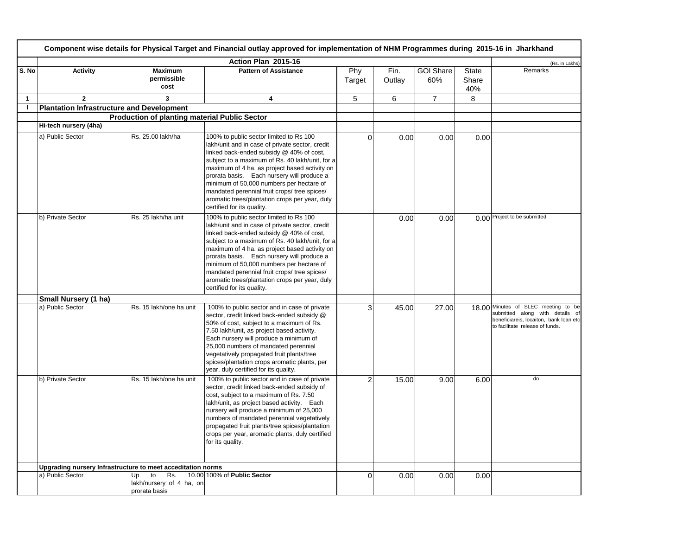|              | Component wise details for Physical Target and Financial outlay approved for implementation of NHM Programmes during 2015-16 in Jharkhand |                                                              |                                                                                                                                                                                                                                                                                                                                                                                                                                                                      |               |                |                         |                              |                                                                                                                                                     |  |  |
|--------------|-------------------------------------------------------------------------------------------------------------------------------------------|--------------------------------------------------------------|----------------------------------------------------------------------------------------------------------------------------------------------------------------------------------------------------------------------------------------------------------------------------------------------------------------------------------------------------------------------------------------------------------------------------------------------------------------------|---------------|----------------|-------------------------|------------------------------|-----------------------------------------------------------------------------------------------------------------------------------------------------|--|--|
|              |                                                                                                                                           |                                                              | Action Plan 2015-16                                                                                                                                                                                                                                                                                                                                                                                                                                                  |               |                |                         |                              | (Rs. in Lakhs)                                                                                                                                      |  |  |
| S. No        | <b>Activity</b>                                                                                                                           | <b>Maximum</b><br>permissible<br>cost                        | <b>Pattern of Assistance</b>                                                                                                                                                                                                                                                                                                                                                                                                                                         | Phy<br>Target | Fin.<br>Outlay | <b>GOI Share</b><br>60% | <b>State</b><br>Share<br>40% | Remarks                                                                                                                                             |  |  |
| $\mathbf{1}$ | $\mathbf{2}$                                                                                                                              | 3                                                            | $\overline{\mathbf{4}}$                                                                                                                                                                                                                                                                                                                                                                                                                                              | 5             | 6              | $\overline{7}$          | 8                            |                                                                                                                                                     |  |  |
| -1           | <b>Plantation Infrastructure and Development</b>                                                                                          |                                                              |                                                                                                                                                                                                                                                                                                                                                                                                                                                                      |               |                |                         |                              |                                                                                                                                                     |  |  |
|              |                                                                                                                                           | <b>Production of planting material Public Sector</b>         |                                                                                                                                                                                                                                                                                                                                                                                                                                                                      |               |                |                         |                              |                                                                                                                                                     |  |  |
|              | Hi-tech nursery (4ha)                                                                                                                     |                                                              |                                                                                                                                                                                                                                                                                                                                                                                                                                                                      |               |                |                         |                              |                                                                                                                                                     |  |  |
|              | a) Public Sector                                                                                                                          | Rs. 25.00 lakh/ha                                            | 100% to public sector limited to Rs 100<br>lakh/unit and in case of private sector, credit<br>linked back-ended subsidy @ 40% of cost,<br>subject to a maximum of Rs. 40 lakh/unit, for a<br>maximum of 4 ha. as project based activity on<br>prorata basis. Each nursery will produce a<br>minimum of 50,000 numbers per hectare of<br>mandated perennial fruit crops/ tree spices/<br>aromatic trees/plantation crops per year, duly<br>certified for its quality. | $\Omega$      | 0.00           | 0.00                    | 0.00                         |                                                                                                                                                     |  |  |
|              | b) Private Sector                                                                                                                         | Rs. 25 lakh/ha unit                                          | 100% to public sector limited to Rs 100<br>lakh/unit and in case of private sector, credit<br>linked back-ended subsidy @ 40% of cost,<br>subject to a maximum of Rs. 40 lakh/unit, for a<br>maximum of 4 ha. as project based activity on<br>prorata basis. Each nursery will produce a<br>minimum of 50,000 numbers per hectare of<br>mandated perennial fruit crops/ tree spices/<br>aromatic trees/plantation crops per year, duly<br>certified for its quality. |               | 0.00           | 0.00                    |                              | 0.00 Project to be submitted                                                                                                                        |  |  |
|              | Small Nursery (1 ha)                                                                                                                      |                                                              |                                                                                                                                                                                                                                                                                                                                                                                                                                                                      |               |                |                         |                              |                                                                                                                                                     |  |  |
|              | a) Public Sector                                                                                                                          | Rs. 15 lakh/one ha unit                                      | 100% to public sector and in case of private<br>sector, credit linked back-ended subsidy @<br>50% of cost, subject to a maximum of Rs.<br>7.50 lakh/unit, as project based activity.<br>Each nursery will produce a minimum of<br>25,000 numbers of mandated perennial<br>vegetatively propagated fruit plants/tree<br>spices/plantation crops aromatic plants, per<br>year, duly certified for its quality.                                                         | 3             | 45.00          | 27.00                   |                              | 18.00 Minutes of SLEC meeting to be<br>submitted along with details of<br>beneficiareis, locaiton, bank loan etc<br>to facilitate release of funds. |  |  |
|              | b) Private Sector                                                                                                                         | Rs. 15 lakh/one ha unit                                      | 100% to public sector and in case of private<br>sector, credit linked back-ended subsidy of<br>cost, subject to a maximum of Rs. 7.50<br>lakh/unit, as project based activity. Each<br>nursery will produce a minimum of 25,000<br>numbers of mandated perennial vegetatively<br>propagated fruit plants/tree spices/plantation<br>crops per year, aromatic plants, duly certified<br>for its quality.                                                               | 2             | 15.00          | 9.00                    | 6.00                         | do                                                                                                                                                  |  |  |
|              | Upgrading nursery Infrastructure to meet acceditation norms                                                                               |                                                              |                                                                                                                                                                                                                                                                                                                                                                                                                                                                      |               |                |                         |                              |                                                                                                                                                     |  |  |
|              | a) Public Sector                                                                                                                          | Up<br>to<br>Rs.<br>lakh/nursery of 4 ha, on<br>prorata basis | 10.00 100% of Public Sector                                                                                                                                                                                                                                                                                                                                                                                                                                          | $\Omega$      | 0.00           | 0.00                    | 0.00                         |                                                                                                                                                     |  |  |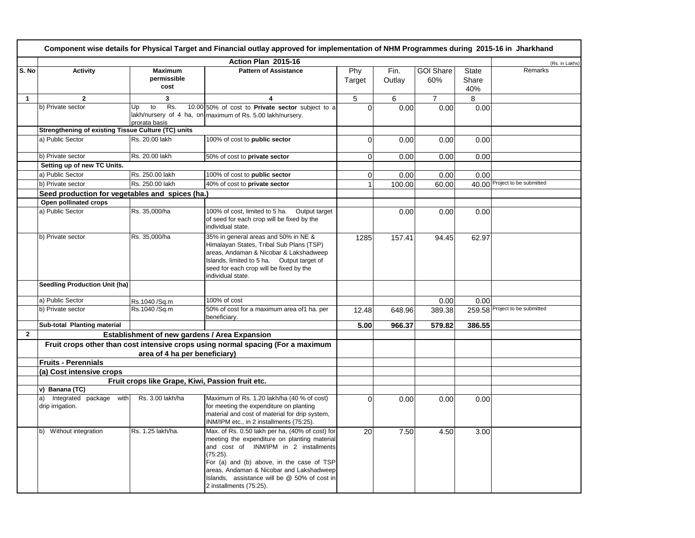|                |                                                            |                                                  | Component wise details for Physical Target and Financial outlay approved for implementation of NHM Programmes during 2015-16 in Jharkhand                                                                                                                                                                                   |               |                |                         |                              |                                |
|----------------|------------------------------------------------------------|--------------------------------------------------|-----------------------------------------------------------------------------------------------------------------------------------------------------------------------------------------------------------------------------------------------------------------------------------------------------------------------------|---------------|----------------|-------------------------|------------------------------|--------------------------------|
|                |                                                            |                                                  | Action Plan 2015-16                                                                                                                                                                                                                                                                                                         |               |                |                         |                              | (Rs. in Lakhs)                 |
| S. No          | <b>Activity</b>                                            | <b>Maximum</b><br>permissible<br>cost            | <b>Pattern of Assistance</b>                                                                                                                                                                                                                                                                                                | Phy<br>Target | Fin.<br>Outlay | <b>GOI Share</b><br>60% | <b>State</b><br>Share<br>40% | Remarks                        |
| 1              | $\overline{2}$                                             | 3                                                | 4                                                                                                                                                                                                                                                                                                                           | 5             | 6              | $\overline{7}$          | 8                            |                                |
|                | b) Private sector                                          | Rs.<br>to<br>Up<br>prorata basis                 | 10.00 50% of cost to Private sector subject to a<br>lakh/nursery of 4 ha, on maximum of Rs. 5.00 lakh/nursery.                                                                                                                                                                                                              | $\Omega$      | 0.00           | 0.00                    | 0.00                         |                                |
|                | <b>Strengthening of existing Tissue Culture (TC) units</b> |                                                  |                                                                                                                                                                                                                                                                                                                             |               |                |                         |                              |                                |
|                | a) Public Sector                                           | Rs. 20.00 lakh                                   | 100% of cost to public sector                                                                                                                                                                                                                                                                                               | $\Omega$      | 0.00           | 0.00                    | 0.00                         |                                |
|                | b) Private sector                                          | Rs. 20.00 lakh                                   | 50% of cost to private sector                                                                                                                                                                                                                                                                                               | $\mathbf 0$   | 0.00           | 0.00                    | 0.00                         |                                |
|                | Setting up of new TC Units.                                |                                                  |                                                                                                                                                                                                                                                                                                                             |               |                |                         |                              |                                |
|                | a) Public Sector                                           | Rs. 250.00 lakh                                  | 100% of cost to public sector                                                                                                                                                                                                                                                                                               | $\mathbf 0$   | 0.00           | 0.00                    | 0.00                         |                                |
|                | b) Private sector                                          | Rs. 250.00 lakh                                  | 40% of cost to private sector                                                                                                                                                                                                                                                                                               | $\mathbf{1}$  | 100.00         | 60.00                   |                              | 40.00 Project to be submitted  |
|                | Seed production for vegetables and spices (ha.)            |                                                  |                                                                                                                                                                                                                                                                                                                             |               |                |                         |                              |                                |
|                | Open pollinated crops                                      |                                                  |                                                                                                                                                                                                                                                                                                                             |               |                |                         |                              |                                |
|                | a) Public Sector                                           | Rs. 35,000/ha                                    | 100% of cost, limited to 5 ha. Output target<br>of seed for each crop will be fixed by the<br>individual state.                                                                                                                                                                                                             |               | 0.00           | 0.00                    | 0.00                         |                                |
|                | b) Private sector                                          | Rs. 35,000/ha                                    | 35% in general areas and 50% in NE &<br>Himalayan States, Tribal Sub Plans (TSP)<br>areas, Andaman & Nicobar & Lakshadweep<br>Islands, limited to 5 ha. Output target of<br>seed for each crop will be fixed by the<br>individual state.                                                                                    | 1285          | 157.41         | 94.45                   | 62.97                        |                                |
|                | <b>Seedling Production Unit (ha)</b>                       |                                                  |                                                                                                                                                                                                                                                                                                                             |               |                |                         |                              |                                |
|                | a) Public Sector                                           | Rs.1040 /Sq.m                                    | 100% of cost                                                                                                                                                                                                                                                                                                                |               |                | 0.00                    | 0.00                         |                                |
|                | b) Private sector                                          | Rs.1040 /Sq.m                                    | 50% of cost for a maximum area of1 ha. per<br>beneficiary.                                                                                                                                                                                                                                                                  | 12.48         | 648.96         | 389.38                  |                              | 259.58 Project to be submitted |
|                | Sub-total Planting material                                |                                                  |                                                                                                                                                                                                                                                                                                                             | 5.00          | 966.37         | 579.82                  | 386.55                       |                                |
| $\overline{2}$ |                                                            | Establishment of new gardens / Area Expansion    |                                                                                                                                                                                                                                                                                                                             |               |                |                         |                              |                                |
|                |                                                            | area of 4 ha per beneficiary)                    | Fruit crops other than cost intensive crops using normal spacing (For a maximum                                                                                                                                                                                                                                             |               |                |                         |                              |                                |
|                | <b>Fruits - Perennials</b>                                 |                                                  |                                                                                                                                                                                                                                                                                                                             |               |                |                         |                              |                                |
|                | (a) Cost intensive crops                                   |                                                  |                                                                                                                                                                                                                                                                                                                             |               |                |                         |                              |                                |
|                |                                                            | Fruit crops like Grape, Kiwi, Passion fruit etc. |                                                                                                                                                                                                                                                                                                                             |               |                |                         |                              |                                |
|                | v) Banana (TC)                                             |                                                  |                                                                                                                                                                                                                                                                                                                             |               |                |                         |                              |                                |
|                | Integrated package with<br>a)<br>drip irrigation.          | Rs. 3.00 lakh/ha                                 | Maximum of Rs. 1.20 lakh/ha (40 % of cost)<br>for meeting the expenditure on planting<br>material and cost of material for drip system,<br>INM/IPM etc., in 2 installments (75:25).                                                                                                                                         | $\Omega$      | 0.00           | 0.00                    | 0.00                         |                                |
|                | b) Without integration                                     | Rs. 1.25 lakh/ha.                                | Max. of Rs. 0.50 lakh per ha, (40% of cost) for<br>meeting the expenditure on planting material<br>and cost of INM/IPM in 2 installments<br>$(75:25)$ .<br>For (a) and (b) above, in the case of TSP<br>areas, Andaman & Nicobar and Lakshadweep<br>Islands, assistance will be @ 50% of cost in<br>2 installments (75:25). | 20            | 7.50           | 4.50                    | 3.00                         |                                |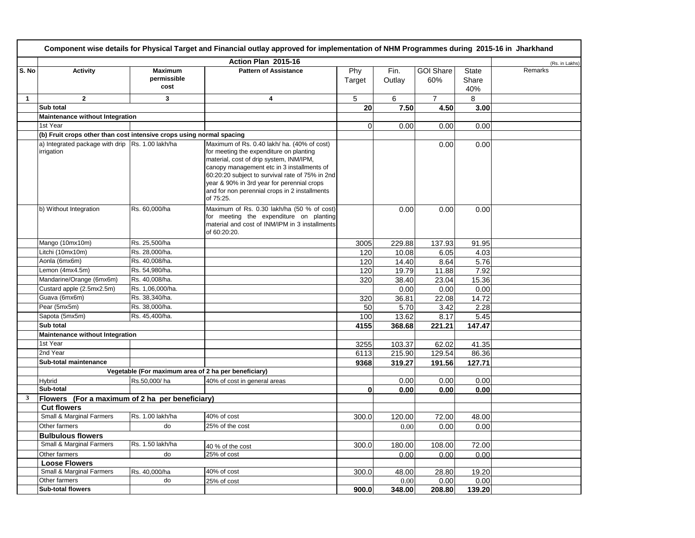|              | Component wise details for Physical Target and Financial outlay approved for implementation of NHM Programmes during 2015-16 in Jharkhand |                                                      |                                                                                                                                                                                                                                                                                                                                                |               |                |                         |                              |                |  |  |  |
|--------------|-------------------------------------------------------------------------------------------------------------------------------------------|------------------------------------------------------|------------------------------------------------------------------------------------------------------------------------------------------------------------------------------------------------------------------------------------------------------------------------------------------------------------------------------------------------|---------------|----------------|-------------------------|------------------------------|----------------|--|--|--|
|              |                                                                                                                                           |                                                      | Action Plan 2015-16                                                                                                                                                                                                                                                                                                                            |               |                |                         |                              | (Rs. in Lakhs) |  |  |  |
| S. No        | Activity                                                                                                                                  | <b>Maximum</b><br>permissible<br>cost                | <b>Pattern of Assistance</b>                                                                                                                                                                                                                                                                                                                   | Phy<br>Target | Fin.<br>Outlay | <b>GOI Share</b><br>60% | <b>State</b><br>Share<br>40% | Remarks        |  |  |  |
| $\mathbf{1}$ | $\overline{2}$                                                                                                                            | 3                                                    | $\overline{\mathbf{4}}$                                                                                                                                                                                                                                                                                                                        | 5             | 6              | $\overline{7}$          | 8                            |                |  |  |  |
|              | Sub total                                                                                                                                 |                                                      |                                                                                                                                                                                                                                                                                                                                                | 20            | 7.50           | 4.50                    | 3.00                         |                |  |  |  |
|              | Maintenance without Integration                                                                                                           |                                                      |                                                                                                                                                                                                                                                                                                                                                |               |                |                         |                              |                |  |  |  |
|              | 1st Year                                                                                                                                  |                                                      |                                                                                                                                                                                                                                                                                                                                                | $\Omega$      | 0.00           | 0.00                    | 0.00                         |                |  |  |  |
|              | (b) Fruit crops other than cost intensive crops using normal spacing                                                                      |                                                      |                                                                                                                                                                                                                                                                                                                                                |               |                |                         |                              |                |  |  |  |
|              | a) Integrated package with drip Rs. 1.00 lakh/ha<br>irrigation                                                                            |                                                      | Maximum of Rs. 0.40 lakh/ ha. (40% of cost)<br>for meeting the expenditure on planting<br>material, cost of drip system, INM/IPM,<br>canopy management etc in 3 installments of<br>60:20:20 subject to survival rate of 75% in 2nd<br>year & 90% in 3rd year for perennial crops<br>and for non perennial crops in 2 installments<br>of 75:25. |               |                | 0.00                    | 0.00                         |                |  |  |  |
|              | b) Without Integration                                                                                                                    | Rs. 60,000/ha                                        | Maximum of Rs. 0.30 lakh/ha (50 % of cost)<br>for meeting the expenditure on planting<br>material and cost of INM/IPM in 3 installments<br>of 60:20:20.                                                                                                                                                                                        |               | 0.00           | 0.00                    | 0.00                         |                |  |  |  |
|              | Mango (10mx10m)                                                                                                                           | Rs. 25,500/ha                                        |                                                                                                                                                                                                                                                                                                                                                | 3005          | 229.88         | 137.93                  | 91.95                        |                |  |  |  |
|              | Litchi (10mx10m)                                                                                                                          | Rs. 28,000/ha.                                       |                                                                                                                                                                                                                                                                                                                                                | 120           | 10.08          | 6.05                    | 4.03                         |                |  |  |  |
|              | Aonla (6mx6m)                                                                                                                             | Rs. 40,008/ha.                                       |                                                                                                                                                                                                                                                                                                                                                | 120           | 14.40          | 8.64                    | 5.76                         |                |  |  |  |
|              | Lemon (4mx4.5m)                                                                                                                           | Rs. 54,980/ha.                                       |                                                                                                                                                                                                                                                                                                                                                | 120           | 19.79          | 11.88                   | 7.92                         |                |  |  |  |
|              | Mandarine/Orange (6mx6m)                                                                                                                  | Rs. 40,008/ha.                                       |                                                                                                                                                                                                                                                                                                                                                | 320           | 38.40          | 23.04                   | 15.36                        |                |  |  |  |
|              | Custard apple (2.5mx2.5m)                                                                                                                 | Rs. 1,06,000/ha.                                     |                                                                                                                                                                                                                                                                                                                                                |               | 0.00           | 0.00                    | 0.00                         |                |  |  |  |
|              | Guava (6mx6m)                                                                                                                             | Rs. 38,340/ha.                                       |                                                                                                                                                                                                                                                                                                                                                | 320           | 36.81          | 22.08                   | 14.72                        |                |  |  |  |
|              | Pear (5mx5m)                                                                                                                              | Rs. 38,000/ha.                                       |                                                                                                                                                                                                                                                                                                                                                | 50            | 5.70           | 3.42                    | 2.28                         |                |  |  |  |
|              | Sapota (5mx5m)                                                                                                                            | Rs. 45,400/ha.                                       |                                                                                                                                                                                                                                                                                                                                                | 100           | 13.62          | 8.17                    | 5.45                         |                |  |  |  |
|              | Sub total                                                                                                                                 |                                                      |                                                                                                                                                                                                                                                                                                                                                | 4155          | 368.68         | 221.21                  | 147.47                       |                |  |  |  |
|              | Maintenance without Integration                                                                                                           |                                                      |                                                                                                                                                                                                                                                                                                                                                |               |                |                         |                              |                |  |  |  |
|              | 1st Year                                                                                                                                  |                                                      |                                                                                                                                                                                                                                                                                                                                                | 3255          | 103.37         | 62.02                   | 41.35                        |                |  |  |  |
|              | 2nd Year                                                                                                                                  |                                                      |                                                                                                                                                                                                                                                                                                                                                | 6113          | 215.90         | 129.54                  | 86.36                        |                |  |  |  |
|              | Sub-total maintenance                                                                                                                     |                                                      |                                                                                                                                                                                                                                                                                                                                                | 9368          | 319.27         | 191.56                  | 127.71                       |                |  |  |  |
|              |                                                                                                                                           | Vegetable (For maximum area of 2 ha per beneficiary) |                                                                                                                                                                                                                                                                                                                                                |               |                |                         |                              |                |  |  |  |
|              | Hybrid                                                                                                                                    | Rs.50,000/ha                                         | 40% of cost in general areas                                                                                                                                                                                                                                                                                                                   |               | 0.00           | 0.00                    | 0.00                         |                |  |  |  |
|              | Sub-total                                                                                                                                 |                                                      |                                                                                                                                                                                                                                                                                                                                                | $\bf{0}$      | 0.00           | 0.00                    | 0.00                         |                |  |  |  |
| 3            | Flowers (For a maximum of 2 ha per beneficiary)                                                                                           |                                                      |                                                                                                                                                                                                                                                                                                                                                |               |                |                         |                              |                |  |  |  |
|              | <b>Cut flowers</b>                                                                                                                        |                                                      | 40% of cost                                                                                                                                                                                                                                                                                                                                    |               |                |                         |                              |                |  |  |  |
|              | Small & Marginal Farmers                                                                                                                  | Rs. 1.00 lakh/ha                                     |                                                                                                                                                                                                                                                                                                                                                | 300.0         | 120.00         | 72.00                   | 48.00                        |                |  |  |  |
|              | Other farmers                                                                                                                             | do                                                   | 25% of the cost                                                                                                                                                                                                                                                                                                                                |               | 0.00           | 0.00                    | 0.00                         |                |  |  |  |
|              | <b>Bulbulous flowers</b>                                                                                                                  |                                                      |                                                                                                                                                                                                                                                                                                                                                |               |                |                         |                              |                |  |  |  |
|              | Small & Marginal Farmers                                                                                                                  | Rs. 1.50 lakh/ha                                     | 40 % of the cost                                                                                                                                                                                                                                                                                                                               | 300.0         | 180.00         | 108.00                  | 72.00                        |                |  |  |  |
|              | Other farmers<br><b>Loose Flowers</b>                                                                                                     | do                                                   | 25% of cost                                                                                                                                                                                                                                                                                                                                    |               | 0.00           | 0.00                    | 0.00                         |                |  |  |  |
|              | Small & Marginal Farmers                                                                                                                  |                                                      | 40% of cost                                                                                                                                                                                                                                                                                                                                    | 300.0         |                |                         |                              |                |  |  |  |
|              | Other farmers                                                                                                                             | Rs. 40,000/ha<br>do                                  | 25% of cost                                                                                                                                                                                                                                                                                                                                    |               | 48.00<br>0.00  | 28.80<br>0.00           | 19.20<br>0.00                |                |  |  |  |
|              | <b>Sub-total flowers</b>                                                                                                                  |                                                      |                                                                                                                                                                                                                                                                                                                                                | 900.0         | 348.00         | 208.80                  | 139.20                       |                |  |  |  |
|              |                                                                                                                                           |                                                      |                                                                                                                                                                                                                                                                                                                                                |               |                |                         |                              |                |  |  |  |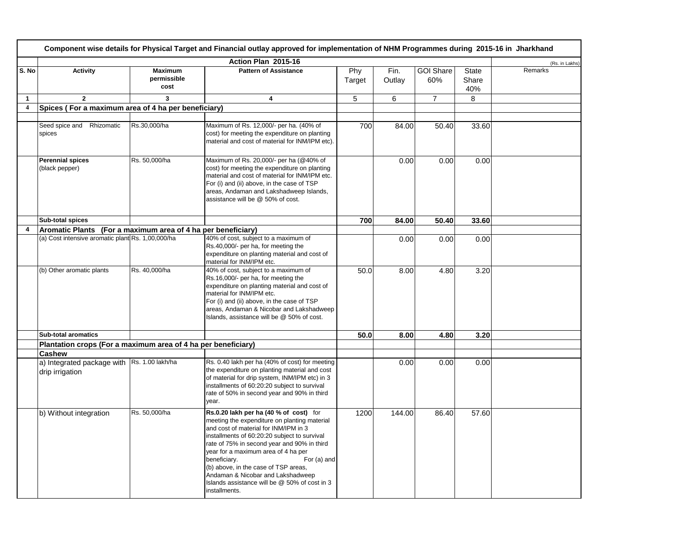|                         | Component wise details for Physical Target and Financial outlay approved for implementation of NHM Programmes during 2015-16 in Jharkhand |                                       |                                                                                                                                                                                                                                                                                                                                                                                                                                                     |               |                |                         |                              |                |  |  |  |
|-------------------------|-------------------------------------------------------------------------------------------------------------------------------------------|---------------------------------------|-----------------------------------------------------------------------------------------------------------------------------------------------------------------------------------------------------------------------------------------------------------------------------------------------------------------------------------------------------------------------------------------------------------------------------------------------------|---------------|----------------|-------------------------|------------------------------|----------------|--|--|--|
|                         |                                                                                                                                           |                                       | Action Plan 2015-16                                                                                                                                                                                                                                                                                                                                                                                                                                 |               |                |                         |                              | (Rs. in Lakhs) |  |  |  |
| S. No                   | Activity                                                                                                                                  | <b>Maximum</b><br>permissible<br>cost | <b>Pattern of Assistance</b>                                                                                                                                                                                                                                                                                                                                                                                                                        | Phy<br>Target | Fin.<br>Outlay | <b>GOI Share</b><br>60% | <b>State</b><br>Share<br>40% | Remarks        |  |  |  |
| $\mathbf{1}$            | $\mathbf{2}$                                                                                                                              | 3                                     | 4                                                                                                                                                                                                                                                                                                                                                                                                                                                   | 5             | 6              | $\overline{7}$          | 8                            |                |  |  |  |
| $\overline{\mathbf{4}}$ | Spices (For a maximum area of 4 ha per beneficiary)                                                                                       |                                       |                                                                                                                                                                                                                                                                                                                                                                                                                                                     |               |                |                         |                              |                |  |  |  |
|                         |                                                                                                                                           |                                       |                                                                                                                                                                                                                                                                                                                                                                                                                                                     |               |                |                         |                              |                |  |  |  |
|                         | Seed spice and Rhizomatic<br>spices                                                                                                       | Rs.30,000/ha                          | Maximum of Rs. 12,000/- per ha. (40% of<br>cost) for meeting the expenditure on planting<br>material and cost of material for INM/IPM etc).                                                                                                                                                                                                                                                                                                         | 700           | 84.00          | 50.40                   | 33.60                        |                |  |  |  |
|                         | <b>Perennial spices</b><br>(black pepper)                                                                                                 | Rs. 50,000/ha                         | Maximum of Rs. 20,000/- per ha (@40% of<br>cost) for meeting the expenditure on planting<br>material and cost of material for INM/IPM etc.<br>For (i) and (ii) above, in the case of TSP<br>areas, Andaman and Lakshadweep Islands,<br>assistance will be @ 50% of cost.                                                                                                                                                                            |               | 0.00           | 0.00                    | 0.00                         |                |  |  |  |
|                         | Sub-total spices                                                                                                                          |                                       |                                                                                                                                                                                                                                                                                                                                                                                                                                                     | 700           | 84.00          | 50.40                   | 33.60                        |                |  |  |  |
| 4                       | Aromatic Plants (For a maximum area of 4 ha per beneficiary)                                                                              |                                       |                                                                                                                                                                                                                                                                                                                                                                                                                                                     |               |                |                         |                              |                |  |  |  |
|                         | (a) Cost intensive aromatic plant Rs. 1,00,000/ha                                                                                         |                                       | 40% of cost, subject to a maximum of<br>Rs.40,000/- per ha, for meeting the<br>expenditure on planting material and cost of<br>material for INM/IPM etc.                                                                                                                                                                                                                                                                                            |               | 0.00           | 0.00                    | 0.00                         |                |  |  |  |
|                         | (b) Other aromatic plants                                                                                                                 | Rs. 40,000/ha                         | 40% of cost, subject to a maximum of<br>Rs.16,000/- per ha, for meeting the<br>expenditure on planting material and cost of<br>material for INM/IPM etc.<br>For (i) and (ii) above, in the case of TSP<br>areas, Andaman & Nicobar and Lakshadweep<br>Islands, assistance will be @ 50% of cost.                                                                                                                                                    | 50.0          | 8.00           | 4.80                    | 3.20                         |                |  |  |  |
|                         | <b>Sub-total aromatics</b>                                                                                                                |                                       |                                                                                                                                                                                                                                                                                                                                                                                                                                                     | 50.0          | 8.00           | 4.80                    | 3.20                         |                |  |  |  |
|                         | Plantation crops (For a maximum area of 4 ha per beneficiary)                                                                             |                                       |                                                                                                                                                                                                                                                                                                                                                                                                                                                     |               |                |                         |                              |                |  |  |  |
|                         | Cashew                                                                                                                                    |                                       |                                                                                                                                                                                                                                                                                                                                                                                                                                                     |               |                |                         |                              |                |  |  |  |
|                         | a) Integrated package with Rs. 1.00 lakh/ha<br>drip irrigation                                                                            |                                       | Rs. 0.40 lakh per ha (40% of cost) for meeting<br>the expenditure on planting material and cost<br>of material for drip system, INM/IPM etc) in 3<br>installments of 60:20:20 subject to survival<br>rate of 50% in second year and 90% in third<br>year.                                                                                                                                                                                           |               | 0.00           | 0.00                    | 0.00                         |                |  |  |  |
|                         | b) Without integration                                                                                                                    | Rs. 50,000/ha                         | Rs.0.20 lakh per ha (40 % of cost) for<br>meeting the expenditure on planting material<br>and cost of material for INM/IPM in 3<br>installments of 60:20:20 subject to survival<br>rate of 75% in second year and 90% in third<br>year for a maximum area of 4 ha per<br>beneficiary.<br>For (a) and<br>(b) above, in the case of TSP areas,<br>Andaman & Nicobar and Lakshadweep<br>Islands assistance will be @ 50% of cost in 3<br>installments. | 1200          | 144.00         | 86.40                   | 57.60                        |                |  |  |  |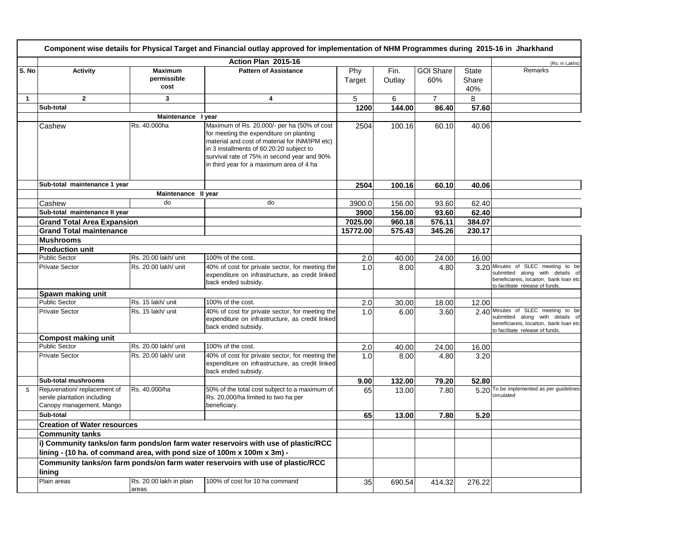|       |                                                                                          |                                       | Component wise details for Physical Target and Financial outlay approved for implementation of NHM Programmes during 2015-16 in Jharkhand                                                                                                                                       |               |                |                         |                              |                                                                                                                                                    |
|-------|------------------------------------------------------------------------------------------|---------------------------------------|---------------------------------------------------------------------------------------------------------------------------------------------------------------------------------------------------------------------------------------------------------------------------------|---------------|----------------|-------------------------|------------------------------|----------------------------------------------------------------------------------------------------------------------------------------------------|
|       |                                                                                          |                                       | Action Plan 2015-16                                                                                                                                                                                                                                                             |               |                |                         |                              | (Rs. in Lakhs)                                                                                                                                     |
| S. No | <b>Activity</b>                                                                          | <b>Maximum</b><br>permissible<br>cost | <b>Pattern of Assistance</b>                                                                                                                                                                                                                                                    | Phy<br>Target | Fin.<br>Outlay | <b>GOI Share</b><br>60% | <b>State</b><br>Share<br>40% | Remarks                                                                                                                                            |
| 1     | $\overline{2}$                                                                           | 3                                     | 4                                                                                                                                                                                                                                                                               | 5             | 6              | $\overline{7}$          | 8                            |                                                                                                                                                    |
|       | Sub-total                                                                                |                                       |                                                                                                                                                                                                                                                                                 | 1200          | 144.00         | 86.40                   | 57.60                        |                                                                                                                                                    |
|       |                                                                                          | Maintenance I year                    |                                                                                                                                                                                                                                                                                 |               |                |                         |                              |                                                                                                                                                    |
|       | Cashew                                                                                   | Rs. 40,000ha                          | Maximum of Rs. 20,000/- per ha (50% of cost<br>for meeting the expenditure on planting<br>material and cost of material for INM/IPM etc)<br>in 3 installments of 60:20:20 subject to<br>survival rate of 75% in second year and 90%<br>in third year for a maximum area of 4 ha | 2504          | 100.16         | 60.10                   | 40.06                        |                                                                                                                                                    |
|       | Sub-total maintenance 1 year                                                             |                                       |                                                                                                                                                                                                                                                                                 | 2504          | 100.16         | 60.10                   | 40.06                        |                                                                                                                                                    |
|       |                                                                                          | Maintenance II year                   |                                                                                                                                                                                                                                                                                 |               |                |                         |                              |                                                                                                                                                    |
|       | Cashew                                                                                   | do                                    | do                                                                                                                                                                                                                                                                              | 3900.0        | 156.00         | 93.60                   | 62.40                        |                                                                                                                                                    |
|       | Sub-total maintenance II year                                                            |                                       |                                                                                                                                                                                                                                                                                 | 3900          | 156.00         | 93.60                   | 62.40                        |                                                                                                                                                    |
|       | <b>Grand Total Area Expansion</b>                                                        |                                       |                                                                                                                                                                                                                                                                                 | 7025.00       | 960.18         | 576.11                  | 384.07                       |                                                                                                                                                    |
|       | <b>Grand Total maintenance</b>                                                           |                                       |                                                                                                                                                                                                                                                                                 | 15772.00      | 575.43         | 345.26                  | 230.17                       |                                                                                                                                                    |
|       | <b>Mushrooms</b>                                                                         |                                       |                                                                                                                                                                                                                                                                                 |               |                |                         |                              |                                                                                                                                                    |
|       | <b>Production unit</b>                                                                   |                                       |                                                                                                                                                                                                                                                                                 |               |                |                         |                              |                                                                                                                                                    |
|       | <b>Public Sector</b>                                                                     | Rs. 20.00 lakh/ unit                  | 100% of the cost.                                                                                                                                                                                                                                                               | 2.0           | 40.00          | 24.00                   | 16.00                        |                                                                                                                                                    |
|       | <b>Private Sector</b>                                                                    | Rs. 20.00 lakh/ unit                  | 40% of cost for private sector, for meeting the<br>expenditure on infrastructure, as credit linked<br>back ended subsidy.                                                                                                                                                       | 1.0           | 8.00           | 4.80                    |                              | 3.20 Minutes of SLEC meeting to be<br>submitted along with details of<br>beneficiareis, locaiton, bank loan etc<br>to facilitate release of funds. |
|       | Spawn making unit                                                                        |                                       |                                                                                                                                                                                                                                                                                 |               |                |                         |                              |                                                                                                                                                    |
|       | <b>Public Sector</b>                                                                     | Rs. 15 lakh/ unit                     | 100% of the cost.                                                                                                                                                                                                                                                               | 2.0           | 30.00          | 18.00                   | 12.00                        |                                                                                                                                                    |
|       | <b>Private Sector</b>                                                                    | Rs. 15 lakh/ unit                     | 40% of cost for private sector, for meeting the<br>expenditure on infrastructure, as credit linked<br>back ended subsidy.                                                                                                                                                       | 1.0           | 6.00           | 3.60                    |                              | 2.40 Minutes of SLEC meeting to be<br>submitted along with details of<br>beneficiareis, locaiton, bank loan etc<br>to facilitate release of funds. |
|       | <b>Compost making unit</b>                                                               |                                       |                                                                                                                                                                                                                                                                                 |               |                |                         |                              |                                                                                                                                                    |
|       | <b>Public Sector</b>                                                                     | Rs. 20.00 lakh/ unit                  | 100% of the cost.                                                                                                                                                                                                                                                               | 2.0           | 40.00          | 24.00                   | 16.00                        |                                                                                                                                                    |
|       | <b>Private Sector</b>                                                                    | Rs. 20.00 lakh/ unit                  | 40% of cost for private sector, for meeting the<br>expenditure on infrastructure, as credit linked<br>back ended subsidy.                                                                                                                                                       | 1.0           | 8.00           | 4.80                    | 3.20                         |                                                                                                                                                    |
|       | <b>Sub-total mushrooms</b>                                                               |                                       |                                                                                                                                                                                                                                                                                 | 9.00          | 132.00         | 79.20                   | 52.80                        |                                                                                                                                                    |
| 5     | Rejuvenation/replacement of<br>senile plantation including<br>Canopy management. Mango   | Rs. 40,000/ha                         | 50% of the total cost subject to a maximum of<br>Rs. 20,000/ha limited to two ha per<br>beneficiary.                                                                                                                                                                            | 65            | 13.00          | 7.80                    |                              | 5.20 To be implemented as per guidelines<br>circulated                                                                                             |
|       | Sub-total                                                                                |                                       |                                                                                                                                                                                                                                                                                 | 65            | 13.00          | 7.80                    | 5.20                         |                                                                                                                                                    |
|       | <b>Creation of Water resources</b>                                                       |                                       |                                                                                                                                                                                                                                                                                 |               |                |                         |                              |                                                                                                                                                    |
|       | <b>Community tanks</b>                                                                   |                                       |                                                                                                                                                                                                                                                                                 |               |                |                         |                              |                                                                                                                                                    |
|       | lining - (10 ha. of command area, with pond size of 100m x 100m x 3m) -                  |                                       | i) Community tanks/on farm ponds/on farm water reservoirs with use of plastic/RCC                                                                                                                                                                                               |               |                |                         |                              |                                                                                                                                                    |
|       | Community tanks/on farm ponds/on farm water reservoirs with use of plastic/RCC<br>lining |                                       |                                                                                                                                                                                                                                                                                 |               |                |                         |                              |                                                                                                                                                    |
|       | Plain areas                                                                              | Rs. 20.00 lakh in plain<br>areas      | 100% of cost for 10 ha command                                                                                                                                                                                                                                                  | 35            | 690.54         | 414.32                  | 276.22                       |                                                                                                                                                    |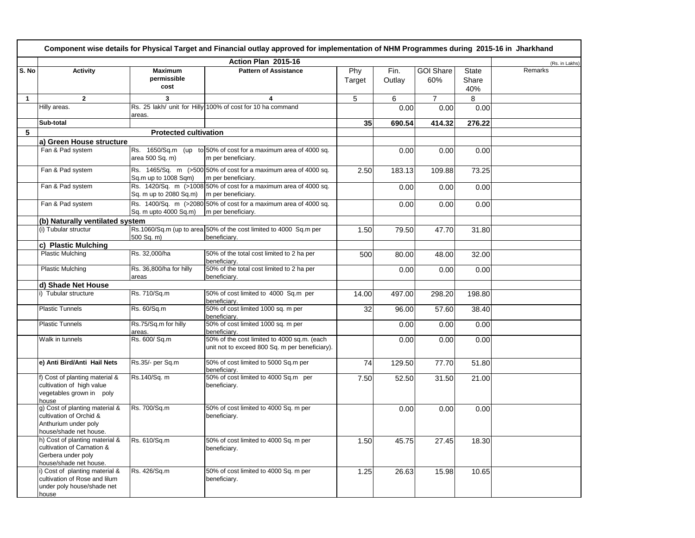|              |                                                                                                              |                                       | Component wise details for Physical Target and Financial outlay approved for implementation of NHM Programmes during 2015-16 in Jharkhand |               |                |                         |                              |                |
|--------------|--------------------------------------------------------------------------------------------------------------|---------------------------------------|-------------------------------------------------------------------------------------------------------------------------------------------|---------------|----------------|-------------------------|------------------------------|----------------|
|              |                                                                                                              |                                       | Action Plan 2015-16                                                                                                                       |               |                |                         |                              | (Rs. in Lakhs) |
| S. No        | Activity                                                                                                     | <b>Maximum</b><br>permissible<br>cost | <b>Pattern of Assistance</b>                                                                                                              | Phy<br>Target | Fin.<br>Outlay | <b>GOI Share</b><br>60% | <b>State</b><br>Share<br>40% | Remarks        |
| $\mathbf{1}$ | $\mathbf{2}$                                                                                                 | 3                                     | 4                                                                                                                                         | 5             | 6              | $\overline{7}$          | 8                            |                |
|              | Hilly areas.                                                                                                 | areas.                                | Rs. 25 lakh/ unit for Hilly 100% of cost for 10 ha command                                                                                |               | 0.00           | 0.00                    | 0.00                         |                |
|              | Sub-total                                                                                                    |                                       |                                                                                                                                           | 35            | 690.54         | 414.32                  | 276.22                       |                |
| 5            |                                                                                                              | <b>Protected cultivation</b>          |                                                                                                                                           |               |                |                         |                              |                |
|              | a) Green House structure                                                                                     |                                       |                                                                                                                                           |               |                |                         |                              |                |
|              | Fan & Pad system                                                                                             | area 500 Sq. m)                       | Rs. 1650/Sq.m (up to 50% of cost for a maximum area of 4000 sq.<br>m per beneficiary.                                                     |               | 0.00           | 0.00                    | 0.00                         |                |
|              | Fan & Pad system                                                                                             | Sq.m up to 1008 Sqm)                  | Rs. $1465/Sq$ . m $(>500 50\%$ of cost for a maximum area of 4000 sq.<br>m per beneficiary.                                               | 2.50          | 183.13         | 109.88                  | 73.25                        |                |
|              | Fan & Pad system                                                                                             | Sq. m up to 2080 Sq.m)                | Rs. 1420/Sq. m (>1008 50% of cost for a maximum area of 4000 sq.<br>m per beneficiary.                                                    |               | 0.00           | 0.00                    | 0.00                         |                |
|              | Fan & Pad system                                                                                             | Sq. m upto 4000 Sq.m)                 | Rs. 1400/Sq. m (>2080 50% of cost for a maximum area of 4000 sq.<br>m per beneficiary.                                                    |               | 0.00           | 0.00                    | 0.00                         |                |
|              | (b) Naturally ventilated system                                                                              |                                       |                                                                                                                                           |               |                |                         |                              |                |
|              | (i) Tubular structur                                                                                         | 500 Sq. m)                            | Rs.1060/Sq.m (up to area 50% of the cost limited to 4000 Sq.m per<br>beneficiary.                                                         | 1.50          | 79.50          | 47.70                   | 31.80                        |                |
|              | c) Plastic Mulching                                                                                          |                                       |                                                                                                                                           |               |                |                         |                              |                |
|              | <b>Plastic Mulching</b>                                                                                      | Rs. 32,000/ha                         | 50% of the total cost limited to 2 ha per<br>beneficiary.                                                                                 | 500           | 80.00          | 48.00                   | 32.00                        |                |
|              | <b>Plastic Mulching</b>                                                                                      | Rs. 36,800/ha for hilly<br>areas      | 50% of the total cost limited to 2 ha per<br>beneficiarv.                                                                                 |               | 0.00           | 0.00                    | 0.00                         |                |
|              | d) Shade Net House                                                                                           |                                       |                                                                                                                                           |               |                |                         |                              |                |
|              | i) Tubular structure                                                                                         | Rs. 710/Sq.m                          | 50% of cost limited to 4000 Sq.m per<br>beneficiarv.                                                                                      | 14.00         | 497.00         | 298.20                  | 198.80                       |                |
|              | <b>Plastic Tunnels</b>                                                                                       | Rs. 60/Sq.m                           | 50% of cost limited 1000 sq. m per<br>beneficiary.                                                                                        | 32            | 96.00          | 57.60                   | 38.40                        |                |
|              | <b>Plastic Tunnels</b>                                                                                       | Rs.75/Sq.m for hilly<br>areas.        | 50% of cost limited 1000 sq. m per<br>beneficiarv.                                                                                        |               | 0.00           | 0.00                    | 0.00                         |                |
|              | Walk in tunnels                                                                                              | Rs. 600/ Sq.m                         | 50% of the cost limited to 4000 sq.m. (each<br>unit not to exceed 800 Sq. m per beneficiary).                                             |               | 0.00           | 0.00                    | 0.00                         |                |
|              | e) Anti Bird/Anti Hail Nets                                                                                  | Rs.35/- per Sq.m                      | 50% of cost limited to 5000 Sq.m per<br>beneficiary.                                                                                      | 74            | 129.50         | 77.70                   | 51.80                        |                |
|              | f) Cost of planting material &<br>cultivation of high value<br>vegetables grown in poly<br>house             | Rs.140/Sq. m                          | 50% of cost limited to 4000 Sq.m per<br>beneficiary.                                                                                      | 7.50          | 52.50          | 31.50                   | 21.00                        |                |
|              | g) Cost of planting material &<br>cultivation of Orchid &<br>Anthurium under poly<br>house/shade net house.  | Rs. 700/Sq.m                          | 50% of cost limited to 4000 Sq. m per<br>beneficiary.                                                                                     |               | 0.00           | 0.00                    | 0.00                         |                |
|              | h) Cost of planting material &<br>cultivation of Carnation &<br>Gerbera under poly<br>house/shade net house. | Rs. 610/Sq.m                          | 50% of cost limited to 4000 Sq. m per<br>beneficiary.                                                                                     | 1.50          | 45.75          | 27.45                   | 18.30                        |                |
|              | i) Cost of planting material &<br>cultivation of Rose and lilum<br>under poly house/shade net<br>house       | Rs. 426/Sq.m                          | 50% of cost limited to 4000 Sq. m per<br>beneficiary.                                                                                     | 1.25          | 26.63          | 15.98                   | 10.65                        |                |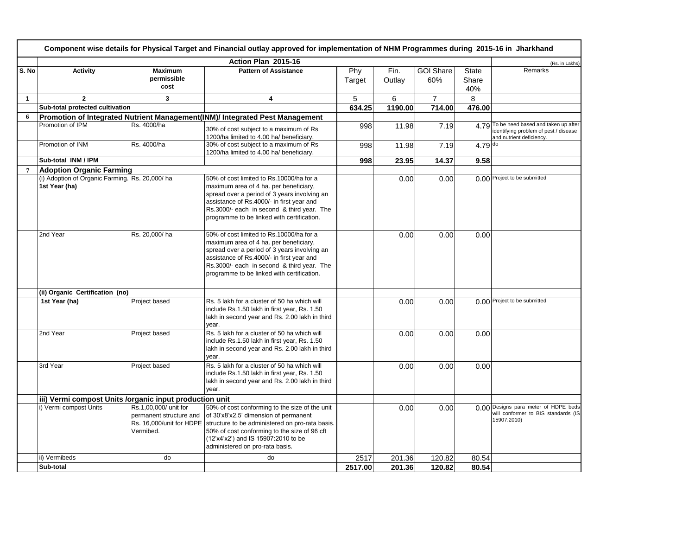|                | Component wise details for Physical Target and Financial outlay approved for implementation of NHM Programmes during 2015-16 in Jharkhand |                               |                                                                                          |               |                |                         |                       |                                                                   |  |  |
|----------------|-------------------------------------------------------------------------------------------------------------------------------------------|-------------------------------|------------------------------------------------------------------------------------------|---------------|----------------|-------------------------|-----------------------|-------------------------------------------------------------------|--|--|
|                |                                                                                                                                           |                               | Action Plan 2015-16                                                                      |               |                |                         |                       | (Rs. in Lakhs)                                                    |  |  |
| S. No          | <b>Activity</b>                                                                                                                           | <b>Maximum</b><br>permissible | <b>Pattern of Assistance</b>                                                             | Phy<br>Target | Fin.<br>Outlav | <b>GOI Share</b><br>60% | <b>State</b><br>Share | Remarks                                                           |  |  |
|                |                                                                                                                                           | cost                          |                                                                                          |               |                |                         | 40%                   |                                                                   |  |  |
| $\mathbf{1}$   | $\overline{2}$                                                                                                                            | 3                             | 4                                                                                        | 5             | 6              | $\overline{7}$          | 8                     |                                                                   |  |  |
|                | Sub-total protected cultivation                                                                                                           |                               |                                                                                          | 634.25        | 1190.00        | 714.00                  | 476.00                |                                                                   |  |  |
| 6              |                                                                                                                                           |                               | Promotion of Integrated Nutrient Management(INM)/ Integrated Pest Management             |               |                |                         |                       |                                                                   |  |  |
|                | Promotion of IPM                                                                                                                          | Rs. 4000/ha                   | 30% of cost subject to a maximum of Rs                                                   | 998           | 11.98          | 7.19                    |                       | 4.79 To be need based and taken up after                          |  |  |
|                |                                                                                                                                           |                               | 1200/ha limited to 4.00 ha/ beneficiary.                                                 |               |                |                         |                       | identifying problem of pest / disease<br>and nutrient deficiency. |  |  |
|                | Promotion of INM                                                                                                                          | Rs. 4000/ha                   | 30% of cost subject to a maximum of Rs                                                   | 998           | 11.98          | 7.19                    | $4.79$ do             |                                                                   |  |  |
|                |                                                                                                                                           |                               | 1200/ha limited to 4.00 ha/ beneficiary.                                                 |               |                |                         |                       |                                                                   |  |  |
|                | Sub-total INM / IPM                                                                                                                       |                               |                                                                                          | 998           | 23.95          | 14.37                   | 9.58                  |                                                                   |  |  |
| $\overline{7}$ | <b>Adoption Organic Farming</b>                                                                                                           |                               |                                                                                          |               |                |                         |                       |                                                                   |  |  |
|                | (i) Adoption of Organic Farming. Rs. 20,000/ha                                                                                            |                               | 50% of cost limited to Rs.10000/ha for a                                                 |               | 0.00           | 0.00                    |                       | 0.00 Project to be submitted                                      |  |  |
|                | 1st Year (ha)                                                                                                                             |                               | maximum area of 4 ha. per beneficiary,                                                   |               |                |                         |                       |                                                                   |  |  |
|                |                                                                                                                                           |                               | spread over a period of 3 years involving an                                             |               |                |                         |                       |                                                                   |  |  |
|                |                                                                                                                                           |                               | assistance of Rs.4000/- in first year and                                                |               |                |                         |                       |                                                                   |  |  |
|                |                                                                                                                                           |                               | Rs.3000/- each in second & third year. The<br>programme to be linked with certification. |               |                |                         |                       |                                                                   |  |  |
|                |                                                                                                                                           |                               |                                                                                          |               |                |                         |                       |                                                                   |  |  |
|                | 2nd Year                                                                                                                                  | Rs. 20,000/ha                 | 50% of cost limited to Rs.10000/ha for a                                                 |               | 0.00           | 0.00                    | 0.00                  |                                                                   |  |  |
|                |                                                                                                                                           |                               | maximum area of 4 ha. per beneficiary,                                                   |               |                |                         |                       |                                                                   |  |  |
|                |                                                                                                                                           |                               | spread over a period of 3 years involving an                                             |               |                |                         |                       |                                                                   |  |  |
|                |                                                                                                                                           |                               | assistance of Rs.4000/- in first year and                                                |               |                |                         |                       |                                                                   |  |  |
|                |                                                                                                                                           |                               | Rs.3000/- each in second & third year. The                                               |               |                |                         |                       |                                                                   |  |  |
|                |                                                                                                                                           |                               | programme to be linked with certification.                                               |               |                |                         |                       |                                                                   |  |  |
|                |                                                                                                                                           |                               |                                                                                          |               |                |                         |                       |                                                                   |  |  |
|                | (ii) Organic Certification (no)                                                                                                           |                               |                                                                                          |               |                |                         |                       |                                                                   |  |  |
|                | 1st Year (ha)                                                                                                                             | Project based                 | Rs. 5 lakh for a cluster of 50 ha which will                                             |               | 0.00           | 0.00                    |                       | 0.00 Project to be submitted                                      |  |  |
|                |                                                                                                                                           |                               | include Rs.1.50 lakh in first year, Rs. 1.50                                             |               |                |                         |                       |                                                                   |  |  |
|                |                                                                                                                                           |                               | lakh in second year and Rs. 2.00 lakh in third<br>vear.                                  |               |                |                         |                       |                                                                   |  |  |
|                | 2nd Year                                                                                                                                  | Project based                 | Rs. 5 lakh for a cluster of 50 ha which will                                             |               | 0.00           | 0.00                    | 0.00                  |                                                                   |  |  |
|                |                                                                                                                                           |                               | include Rs.1.50 lakh in first year, Rs. 1.50                                             |               |                |                         |                       |                                                                   |  |  |
|                |                                                                                                                                           |                               | lakh in second year and Rs. 2.00 lakh in third                                           |               |                |                         |                       |                                                                   |  |  |
|                |                                                                                                                                           |                               | year.                                                                                    |               |                |                         |                       |                                                                   |  |  |
|                | 3rd Year                                                                                                                                  | Project based                 | Rs. 5 lakh for a cluster of 50 ha which will                                             |               | 0.00           | 0.00                    | 0.00                  |                                                                   |  |  |
|                |                                                                                                                                           |                               | include Rs.1.50 lakh in first year, Rs. 1.50                                             |               |                |                         |                       |                                                                   |  |  |
|                |                                                                                                                                           |                               | lakh in second year and Rs. 2.00 lakh in third                                           |               |                |                         |                       |                                                                   |  |  |
|                |                                                                                                                                           |                               | year.                                                                                    |               |                |                         |                       |                                                                   |  |  |
|                | iii) Vermi compost Units / organic input production unit                                                                                  |                               |                                                                                          |               |                |                         |                       |                                                                   |  |  |
|                | i) Vermi compost Units                                                                                                                    | Rs.1,00,000/ unit for         | 50% of cost conforming to the size of the unit                                           |               | 0.00           | 0.00                    |                       | 0.00 Designs para meter of HDPE beds                              |  |  |
|                |                                                                                                                                           | permanent structure and       | of 30'x8'x2.5' dimension of permanent                                                    |               |                |                         |                       | will conformer to BIS standards (IS<br>15907:2010)                |  |  |
|                |                                                                                                                                           |                               | Rs. 16,000/unit for HDPE structure to be administered on pro-rata basis.                 |               |                |                         |                       |                                                                   |  |  |
|                |                                                                                                                                           | Vermibed.                     | 50% of cost conforming to the size of 96 cft                                             |               |                |                         |                       |                                                                   |  |  |
|                |                                                                                                                                           |                               | (12'x4'x2') and IS 15907:2010 to be<br>administered on pro-rata basis.                   |               |                |                         |                       |                                                                   |  |  |
|                |                                                                                                                                           |                               |                                                                                          |               |                |                         |                       |                                                                   |  |  |
|                | ii) Vermibeds                                                                                                                             | do                            | do                                                                                       | 2517          | 201.36         | 120.82                  | 80.54                 |                                                                   |  |  |
|                | Sub-total                                                                                                                                 |                               |                                                                                          | 2517.00       | 201.36         | 120.82                  | 80.54                 |                                                                   |  |  |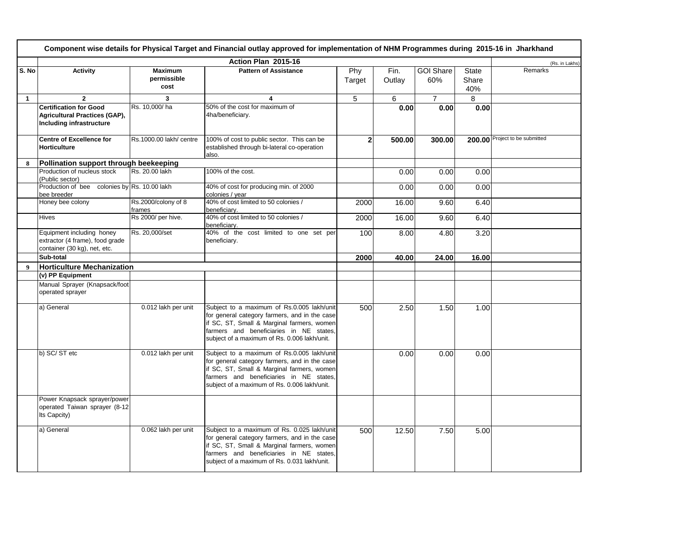|              | Component wise details for Physical Target and Financial outlay approved for implementation of NHM Programmes during 2015-16 in Jharkhand |                                       |                                                                                                                                                                                                                                       |                |                |                         |                              |                                |  |  |
|--------------|-------------------------------------------------------------------------------------------------------------------------------------------|---------------------------------------|---------------------------------------------------------------------------------------------------------------------------------------------------------------------------------------------------------------------------------------|----------------|----------------|-------------------------|------------------------------|--------------------------------|--|--|
|              |                                                                                                                                           |                                       | Action Plan 2015-16                                                                                                                                                                                                                   |                |                |                         |                              | (Rs. in Lakhs)                 |  |  |
| S. No        | <b>Activity</b>                                                                                                                           | <b>Maximum</b><br>permissible<br>cost | <b>Pattern of Assistance</b>                                                                                                                                                                                                          | Phy<br>Target  | Fin.<br>Outlay | <b>GOI Share</b><br>60% | <b>State</b><br>Share<br>40% | Remarks                        |  |  |
| $\mathbf{1}$ | $\mathbf{2}$                                                                                                                              | 3                                     | 4                                                                                                                                                                                                                                     | 5              | 6              | $\overline{7}$          | 8                            |                                |  |  |
|              | <b>Certification for Good</b><br><b>Agricultural Practices (GAP),</b><br>Including infrastructure                                         | Rs. 10.000/ha                         | 50% of the cost for maximum of<br>4ha/beneficiary.                                                                                                                                                                                    |                | 0.00           | 0.00                    | 0.00                         |                                |  |  |
|              | <b>Centre of Excellence for</b><br><b>Horticulture</b>                                                                                    | Rs.1000.00 lakh/ centre               | 100% of cost to public sector. This can be<br>established through bi-lateral co-operation<br>also.                                                                                                                                    | $\overline{2}$ | 500.00         | 300.00                  |                              | 200.00 Project to be submitted |  |  |
| 8            | Pollination support through beekeeping                                                                                                    |                                       |                                                                                                                                                                                                                                       |                |                |                         |                              |                                |  |  |
|              | Production of nucleus stock<br>(Public sector)                                                                                            | Rs. 20.00 lakh                        | 100% of the cost.                                                                                                                                                                                                                     |                | 0.00           | 0.00                    | 0.00                         |                                |  |  |
|              | Production of bee colonies by Rs. 10.00 lakh<br>bee breeder                                                                               |                                       | 40% of cost for producing min. of 2000<br>colonies / year                                                                                                                                                                             |                | 0.00           | 0.00                    | 0.00                         |                                |  |  |
|              | Honey bee colony                                                                                                                          | Rs.2000/colony of 8<br>frames         | 40% of cost limited to 50 colonies /<br>beneficiary.                                                                                                                                                                                  | 2000           | 16.00          | 9.60                    | 6.40                         |                                |  |  |
|              | <b>Hives</b>                                                                                                                              | Rs 2000/ per hive.                    | 40% of cost limited to 50 colonies /<br>beneficiary.                                                                                                                                                                                  | 2000           | 16.00          | 9.60                    | 6.40                         |                                |  |  |
|              | Equipment including honey<br>extractor (4 frame), food grade<br>container (30 kg), net, etc.                                              | Rs. 20,000/set                        | 40% of the cost limited to one set per<br>beneficiary.                                                                                                                                                                                | 100            | 8.00           | 4.80                    | 3.20                         |                                |  |  |
|              | Sub-total                                                                                                                                 |                                       |                                                                                                                                                                                                                                       | 2000           | 40.00          | 24.00                   | 16.00                        |                                |  |  |
| 9            | <b>Horticulture Mechanization</b>                                                                                                         |                                       |                                                                                                                                                                                                                                       |                |                |                         |                              |                                |  |  |
|              | (v) PP Equipment                                                                                                                          |                                       |                                                                                                                                                                                                                                       |                |                |                         |                              |                                |  |  |
|              | Manual Sprayer (Knapsack/foot<br>operated sprayer                                                                                         |                                       |                                                                                                                                                                                                                                       |                |                |                         |                              |                                |  |  |
|              | a) General                                                                                                                                | 0.012 lakh per unit                   | Subject to a maximum of Rs.0.005 lakh/unit<br>for general category farmers, and in the case<br>if SC, ST, Small & Marginal farmers, women<br>farmers and beneficiaries in NE states,<br>subject of a maximum of Rs. 0.006 lakh/unit.  | 500            | 2.50           | 1.50                    | 1.00                         |                                |  |  |
|              | b) SC/ST etc                                                                                                                              | 0.012 lakh per unit                   | Subject to a maximum of Rs.0.005 lakh/unit<br>for general category farmers, and in the case<br>if SC, ST, Small & Marginal farmers, women<br>farmers and beneficiaries in NE states,<br>subject of a maximum of Rs. 0.006 lakh/unit.  |                | 0.00           | 0.00                    | 0.00                         |                                |  |  |
|              | Power Knapsack sprayer/power<br>operated Taiwan sprayer (8-12<br>Its Capcity)                                                             |                                       |                                                                                                                                                                                                                                       |                |                |                         |                              |                                |  |  |
|              | a) General                                                                                                                                | 0.062 lakh per unit                   | Subject to a maximum of Rs. 0.025 lakh/unit<br>for general category farmers, and in the case<br>if SC, ST, Small & Marginal farmers, women<br>farmers and beneficiaries in NE states,<br>subject of a maximum of Rs. 0.031 lakh/unit. | 500            | 12.50          | 7.50                    | 5.00                         |                                |  |  |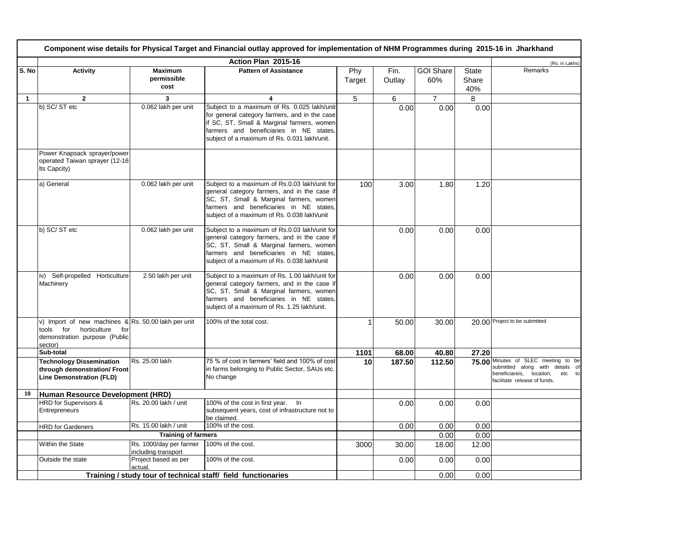|              | Component wise details for Physical Target and Financial outlay approved for implementation of NHM Programmes during 2015-16 in Jharkhand |                                                |                                                                                                                                                                                                                                       |               |                |                         |                       |                                                                                                                                                 |  |
|--------------|-------------------------------------------------------------------------------------------------------------------------------------------|------------------------------------------------|---------------------------------------------------------------------------------------------------------------------------------------------------------------------------------------------------------------------------------------|---------------|----------------|-------------------------|-----------------------|-------------------------------------------------------------------------------------------------------------------------------------------------|--|
|              |                                                                                                                                           |                                                | Action Plan 2015-16                                                                                                                                                                                                                   |               |                |                         |                       | (Rs. in Lakhs)                                                                                                                                  |  |
| S. No        | <b>Activity</b>                                                                                                                           | <b>Maximum</b><br>permissible<br>cost          | <b>Pattern of Assistance</b>                                                                                                                                                                                                          | Phy<br>Target | Fin.<br>Outlay | <b>GOI Share</b><br>60% | State<br>Share<br>40% | Remarks                                                                                                                                         |  |
| $\mathbf{1}$ | $\overline{2}$                                                                                                                            | 3                                              | 4                                                                                                                                                                                                                                     | 5             | 6              | $\overline{7}$          | 8                     |                                                                                                                                                 |  |
|              | b) SC/ST etc                                                                                                                              | 0.062 lakh per unit                            | Subject to a maximum of Rs. 0.025 lakh/unit<br>for general category farmers, and in the case<br>if SC, ST, Small & Marginal farmers, women<br>farmers and beneficiaries in NE states,<br>subject of a maximum of Rs. 0.031 lakh/unit. |               | 0.00           | 0.00                    | 0.00                  |                                                                                                                                                 |  |
|              | Power Knapsack sprayer/power<br>operated Taiwan sprayer (12-16<br>Its Capcity)                                                            |                                                |                                                                                                                                                                                                                                       |               |                |                         |                       |                                                                                                                                                 |  |
|              | a) General                                                                                                                                | 0.062 lakh per unit                            | Subject to a maximum of Rs.0.03 lakh/unit for<br>general category farmers, and in the case if<br>SC, ST, Small & Marginal farmers, women<br>farmers and beneficiaries in NE states,<br>subject of a maximum of Rs. 0.038 lakh/unit    | 100           | 3.00           | 1.80                    | 1.20                  |                                                                                                                                                 |  |
|              | b) SC/ST etc                                                                                                                              | 0.062 lakh per unit                            | Subject to a maximum of Rs.0.03 lakh/unit for<br>general category farmers, and in the case if<br>SC, ST, Small & Marginal farmers, women<br>farmers and beneficiaries in NE states,<br>subject of a maximum of Rs. 0.038 lakh/unit    |               | 0.00           | 0.00                    | 0.00                  |                                                                                                                                                 |  |
|              | iv) Self-propelled Horticulture<br>Machinery                                                                                              | 2.50 lakh per unit                             | Subject to a maximum of Rs. 1.00 lakh/unit for<br>general category farmers, and in the case if<br>SC, ST, Small & Marginal farmers, women<br>farmers and beneficiaries in NE states.<br>subject of a maximum of Rs. 1.25 lakh/unit.   |               | 0.00           | 0.00                    | 0.00                  |                                                                                                                                                 |  |
|              | v) Import of new machines & Rs. 50.00 lakh per unit<br>tools for<br>horticulture for<br>demonstration purpose (Public<br>sector)          |                                                | 100% of the total cost.                                                                                                                                                                                                               |               | 50.00          | 30.00                   |                       | 20.00 Project to be submitted                                                                                                                   |  |
|              | Sub-total                                                                                                                                 |                                                |                                                                                                                                                                                                                                       | 1101          | 68.00          | 40.80                   | 27.20                 |                                                                                                                                                 |  |
|              | <b>Technology Dissemination</b><br>through demonstration/ Front<br><b>Line Demonstration (FLD)</b>                                        | Rs. 25.00 lakh                                 | 75 % of cost in farmers' field and 100% of cost<br>in farms belonging to Public Sector, SAUs etc.<br>No change                                                                                                                        | 10            | 187.50         | 112.50                  |                       | 75.00 Minutes of SLEC meeting to be<br>submitted along with details of<br>locaiton,<br>beneficiareis,<br>etc to<br>facilitate release of funds. |  |
| 10           | Human Resource Development (HRD)                                                                                                          |                                                |                                                                                                                                                                                                                                       |               |                |                         |                       |                                                                                                                                                 |  |
|              | HRD for Supervisors &<br>Entrepreneurs                                                                                                    | Rs. 20.00 lakh / unit                          | 100% of the cost in first year. In<br>subsequent years, cost of infrastructure not to<br>be claimed.                                                                                                                                  |               | 0.00           | 0.00                    | 0.00                  |                                                                                                                                                 |  |
|              | <b>HRD</b> for Gardeners                                                                                                                  | Rs. 15.00 lakh / unit                          | 100% of the cost.                                                                                                                                                                                                                     |               | 0.00           | 0.00                    | 0.00                  |                                                                                                                                                 |  |
|              |                                                                                                                                           | <b>Training of farmers</b>                     |                                                                                                                                                                                                                                       |               |                | 0.00                    | 0.00                  |                                                                                                                                                 |  |
|              | Within the State                                                                                                                          | Rs. 1000/day per farmer<br>including transport | 100% of the cost.                                                                                                                                                                                                                     | 3000          | 30.00          | 18.00                   | 12.00                 |                                                                                                                                                 |  |
|              | Outside the state                                                                                                                         | Project based as per<br>actual.                | 100% of the cost.                                                                                                                                                                                                                     |               | 0.00           | 0.00                    | 0.00                  |                                                                                                                                                 |  |
|              |                                                                                                                                           |                                                | Training / study tour of technical staff/ field functionaries                                                                                                                                                                         |               |                | 0.00                    | 0.00                  |                                                                                                                                                 |  |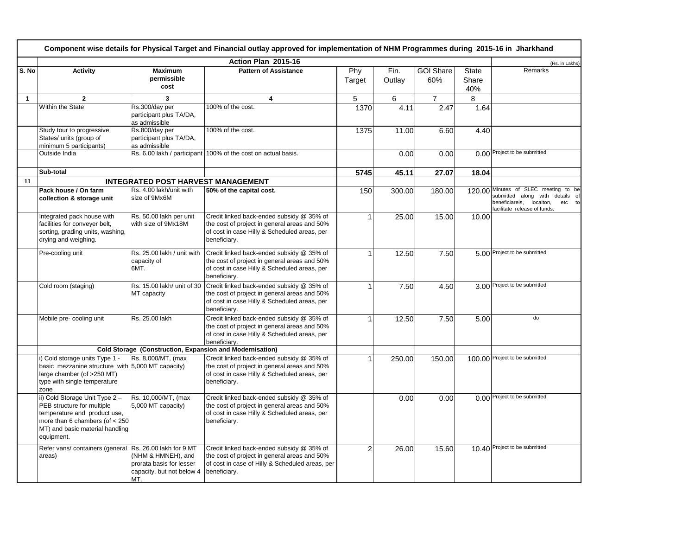|       | Component wise details for Physical Target and Financial outlay approved for implementation of NHM Programmes during 2015-16 in Jharkhand                                         |                                                                                    |                                                                                                                                                              |                |                |                         |                              |                                                                                                                                                     |  |
|-------|-----------------------------------------------------------------------------------------------------------------------------------------------------------------------------------|------------------------------------------------------------------------------------|--------------------------------------------------------------------------------------------------------------------------------------------------------------|----------------|----------------|-------------------------|------------------------------|-----------------------------------------------------------------------------------------------------------------------------------------------------|--|
|       |                                                                                                                                                                                   |                                                                                    | Action Plan 2015-16                                                                                                                                          |                |                |                         |                              | (Rs. in Lakhs)                                                                                                                                      |  |
| S. No | <b>Activity</b>                                                                                                                                                                   | <b>Maximum</b><br>permissible<br>cost                                              | <b>Pattern of Assistance</b>                                                                                                                                 | Phy<br>Target  | Fin.<br>Outlay | <b>GOI Share</b><br>60% | <b>State</b><br>Share<br>40% | Remarks                                                                                                                                             |  |
| 1     | $\overline{2}$                                                                                                                                                                    | 3                                                                                  | 4                                                                                                                                                            | 5              | 6              | $\overline{7}$          | 8                            |                                                                                                                                                     |  |
|       | Within the State                                                                                                                                                                  | Rs.300/day per<br>participant plus TA/DA,<br>as admissible                         | 100% of the cost.                                                                                                                                            | 1370           | 4.11           | 2.47                    | 1.64                         |                                                                                                                                                     |  |
|       | Study tour to progressive<br>States/ units (group of<br>minimum 5 participants)                                                                                                   | Rs.800/day per<br>participant plus TA/DA,<br>as admissible                         | 100% of the cost.                                                                                                                                            | 1375           | 11.00          | 6.60                    | 4.40                         |                                                                                                                                                     |  |
|       | Outside India                                                                                                                                                                     |                                                                                    | Rs. 6.00 lakh / participant 100% of the cost on actual basis.                                                                                                |                | 0.00           | 0.00                    |                              | 0.00 Project to be submitted                                                                                                                        |  |
|       | Sub-total                                                                                                                                                                         |                                                                                    |                                                                                                                                                              | 5745           | 45.11          | 27.07                   | 18.04                        |                                                                                                                                                     |  |
| 11    |                                                                                                                                                                                   | <b>INTEGRATED POST HARVEST MANAGEMENT</b>                                          |                                                                                                                                                              |                |                |                         |                              |                                                                                                                                                     |  |
|       | Pack house / On farm<br>collection & storage unit                                                                                                                                 | Rs. 4.00 lakh/unit with<br>size of 9Mx6M                                           | 50% of the capital cost.                                                                                                                                     | 150            | 300.00         | 180.00                  |                              | 120.00 Minutes of SLEC meeting to be<br>submitted along with<br>details of<br>beneficiareis,<br>locaiton,<br>etc to<br>facilitate release of funds. |  |
|       | Integrated pack house with<br>facilities for conveyer belt,<br>sorting, grading units, washing,<br>drying and weighing.                                                           | Rs. 50.00 lakh per unit<br>with size of 9Mx18M                                     | Credit linked back-ended subsidy @ 35% of<br>the cost of project in general areas and 50%<br>of cost in case Hilly & Scheduled areas, per<br>beneficiary.    | 1              | 25.00          | 15.00                   | 10.00                        |                                                                                                                                                     |  |
|       | Pre-cooling unit                                                                                                                                                                  | Rs. 25.00 lakh / unit with<br>capacity of<br>6MT.                                  | Credit linked back-ended subsidy @ 35% of<br>the cost of project in general areas and 50%<br>of cost in case Hilly & Scheduled areas, per<br>beneficiary.    | $\overline{1}$ | 12.50          | 7.50                    |                              | 5.00 Project to be submitted                                                                                                                        |  |
|       | Cold room (staging)                                                                                                                                                               | Rs. 15.00 lakh/ unit of 30<br>MT capacity                                          | Credit linked back-ended subsidy @ 35% of<br>the cost of project in general areas and 50%<br>of cost in case Hilly & Scheduled areas, per<br>beneficiary.    | 1              | 7.50           | 4.50                    |                              | 3.00 Project to be submitted                                                                                                                        |  |
|       | Mobile pre-cooling unit                                                                                                                                                           | Rs. 25.00 lakh                                                                     | Credit linked back-ended subsidy @ 35% of<br>the cost of project in general areas and 50%<br>of cost in case Hilly & Scheduled areas, per<br>beneficiary.    |                | 12.50          | 7.50                    | 5.00                         | do                                                                                                                                                  |  |
|       |                                                                                                                                                                                   | Cold Storage (Construction, Expansion and Modernisation)                           |                                                                                                                                                              |                |                |                         |                              |                                                                                                                                                     |  |
|       | i) Cold storage units Type 1 -<br>basic mezzanine structure with 5,000 MT capacity)<br>large chamber (of >250 MT)<br>type with single temperature<br>zone                         | Rs. 8,000/MT, (max                                                                 | Credit linked back-ended subsidy @ 35% of<br>the cost of project in general areas and 50%<br>of cost in case Hilly & Scheduled areas, per<br>beneficiary.    |                | 250.00         | 150.00                  |                              | 100.00 Project to be submitted                                                                                                                      |  |
|       | ii) Cold Storage Unit Type 2 -<br>PEB structure for multiple<br>temperature and product use,<br>more than 6 chambers (of $<$ 250<br>MT) and basic material handling<br>equipment. | Rs. 10,000/MT, (max<br>5,000 MT capacity)                                          | Credit linked back-ended subsidy @ 35% of<br>the cost of project in general areas and 50%<br>of cost in case Hilly & Scheduled areas, per<br>beneficiary.    |                | 0.00           | 0.00                    |                              | 0.00 Project to be submitted                                                                                                                        |  |
|       | Refer vans/ containers (general Rs. 26.00 lakh for 9 MT<br>areas)                                                                                                                 | (NHM & HMNEH), and<br>prorata basis for lesser<br>capacity, but not below 4<br>MT. | Credit linked back-ended subsidy @ 35% of<br>the cost of project in general areas and 50%<br>of cost in case of Hilly & Scheduled areas, per<br>beneficiary. | $\overline{2}$ | 26.00          | 15.60                   |                              | 10.40 Project to be submitted                                                                                                                       |  |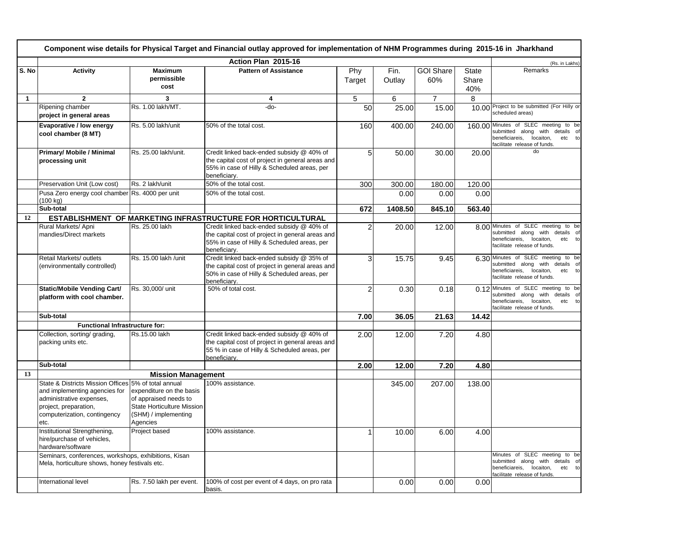|              | Component wise details for Physical Target and Financial outlay approved for implementation of NHM Programmes during 2015-16 in Jharkhand                                          |                                                                                                                     |                                                                                                                                                               |                |                |                         |                              |                                                                                                                                                  |  |
|--------------|------------------------------------------------------------------------------------------------------------------------------------------------------------------------------------|---------------------------------------------------------------------------------------------------------------------|---------------------------------------------------------------------------------------------------------------------------------------------------------------|----------------|----------------|-------------------------|------------------------------|--------------------------------------------------------------------------------------------------------------------------------------------------|--|
|              |                                                                                                                                                                                    |                                                                                                                     | Action Plan 2015-16                                                                                                                                           |                |                |                         |                              | (Rs. in Lakhs)                                                                                                                                   |  |
| S. No        | <b>Activity</b>                                                                                                                                                                    | <b>Maximum</b><br>permissible<br>cost                                                                               | <b>Pattern of Assistance</b>                                                                                                                                  | Phy<br>Target  | Fin.<br>Outlay | <b>GOI Share</b><br>60% | <b>State</b><br>Share<br>40% | Remarks                                                                                                                                          |  |
| $\mathbf{1}$ | $\overline{2}$                                                                                                                                                                     | 3                                                                                                                   | 4                                                                                                                                                             | 5              | 6              | $\overline{7}$          | 8                            |                                                                                                                                                  |  |
|              | Ripening chamber<br>project in general areas                                                                                                                                       | Rs. 1.00 lakh/MT.                                                                                                   | -do-                                                                                                                                                          | 50             | 25.00          | 15.00                   |                              | 10.00 Project to be submitted (For Hilly or<br>scheduled areas)                                                                                  |  |
|              | Evaporative / low energy<br>cool chamber (8 MT)                                                                                                                                    | Rs. 5.00 lakh/unit                                                                                                  | 50% of the total cost.                                                                                                                                        | 160            | 400.00         | 240.00                  |                              | 160.00 Minutes of SLEC meeting to be<br>submitted along with details of<br>beneficiareis,<br>locaiton,<br>etc to<br>facilitate release of funds. |  |
|              | <b>Primary/ Mobile / Minimal</b><br>processing unit                                                                                                                                | Rs. 25.00 lakh/unit.                                                                                                | Credit linked back-ended subsidy @ 40% of<br>the capital cost of project in general areas and<br>55% in case of Hilly & Scheduled areas, per<br>beneficiary.  | 5              | 50.00          | 30.00                   | 20.00                        | $\overline{d}$                                                                                                                                   |  |
|              | Preservation Unit (Low cost)                                                                                                                                                       | Rs. 2 lakh/unit                                                                                                     | $\overline{50\%}$ of the total cost.                                                                                                                          | 300            | 300.00         | 180.00                  | 120.00                       |                                                                                                                                                  |  |
|              | Pusa Zero energy cool chamber Rs. 4000 per unit<br>(100 kg)                                                                                                                        |                                                                                                                     | 50% of the total cost.                                                                                                                                        |                | 0.00           | 0.00                    | 0.00                         |                                                                                                                                                  |  |
|              | Sub-total                                                                                                                                                                          |                                                                                                                     |                                                                                                                                                               | 672            | 1408.50        | 845.10                  | 563.40                       |                                                                                                                                                  |  |
| 12           |                                                                                                                                                                                    |                                                                                                                     | <b>ESTABLISHMENT OF MARKETING INFRASTRUCTURE FOR HORTICULTURAL</b>                                                                                            |                |                |                         |                              |                                                                                                                                                  |  |
|              | Rural Markets/ Apni<br>mandies/Direct markets                                                                                                                                      | Rs. 25.00 lakh                                                                                                      | Credit linked back-ended subsidy @ 40% of<br>the capital cost of project in general areas and<br>55% in case of Hilly & Scheduled areas, per<br>beneficiary.  | $\overline{2}$ | 20.00          | 12.00                   |                              | 8.00 Minutes of SLEC meeting to be<br>submitted along with details of<br>beneficiareis,<br>locaiton,<br>etc to<br>facilitate release of funds.   |  |
|              | Retail Markets/ outlets<br>(environmentally controlled)                                                                                                                            | Rs. 15.00 lakh / unit                                                                                               | Credit linked back-ended subsidy @ 35% of<br>the capital cost of project in general areas and<br>50% in case of Hilly & Scheduled areas, per<br>beneficiarv.  | 3              | 15.75          | 9.45                    |                              | 6.30 Minutes of SLEC meeting to be<br>submitted along with details of<br>beneficiareis, locaiton,<br>etc to<br>facilitate release of funds.      |  |
|              | <b>Static/Mobile Vending Cart/</b><br>platform with cool chamber.                                                                                                                  | Rs. 30,000/ unit                                                                                                    | 50% of total cost.                                                                                                                                            | $\overline{2}$ | 0.30           | 0.18                    |                              | 0.12 Minutes of SLEC meeting to be<br>submitted along with details of<br>beneficiareis,<br>locaiton,<br>etc to<br>facilitate release of funds.   |  |
|              | Sub-total                                                                                                                                                                          |                                                                                                                     |                                                                                                                                                               | 7.00           | 36.05          | 21.63                   | 14.42                        |                                                                                                                                                  |  |
|              | Functional Infrastructure for:                                                                                                                                                     |                                                                                                                     |                                                                                                                                                               |                |                |                         |                              |                                                                                                                                                  |  |
|              | Collection, sorting/ grading,<br>packing units etc.                                                                                                                                | Rs.15.00 lakh                                                                                                       | Credit linked back-ended subsidy @ 40% of<br>the capital cost of project in general areas and<br>55 % in case of Hilly & Scheduled areas, per<br>beneficiary. | 2.00           | 12.00          | 7.20                    | 4.80                         |                                                                                                                                                  |  |
|              | Sub-total                                                                                                                                                                          |                                                                                                                     |                                                                                                                                                               | 2.00           | 12.00          | 7.20                    | 4.80                         |                                                                                                                                                  |  |
| 13           |                                                                                                                                                                                    | <b>Mission Management</b>                                                                                           |                                                                                                                                                               |                |                |                         |                              |                                                                                                                                                  |  |
|              | State & Districts Mission Offices 5% of total annual<br>and implementing agencies for<br>administrative expenses,<br>project, preparation,<br>computerization, contingency<br>etc. | expenditure on the basis<br>of appraised needs to<br>State Horticulture Mission<br>(SHM) / implementing<br>Agencies | 100% assistance.                                                                                                                                              |                | 345.00         | 207.00                  | 138.00                       |                                                                                                                                                  |  |
|              | Institutional Strengthening,<br>hire/purchase of vehicles,<br>hardware/software                                                                                                    | Project based                                                                                                       | 100% assistance.                                                                                                                                              |                | 10.00          | 6.00                    | 4.00                         |                                                                                                                                                  |  |
|              | Seminars, conferences, workshops, exhibitions, Kisan<br>Mela, horticulture shows, honey festivals etc.                                                                             |                                                                                                                     |                                                                                                                                                               |                |                |                         |                              | Minutes of SLEC meeting to be<br>submitted along with details of<br>beneficiareis,<br>locaiton,<br>etc to<br>facilitate release of funds.        |  |
|              | International level                                                                                                                                                                | Rs. 7.50 lakh per event.                                                                                            | 100% of cost per event of 4 days, on pro rata<br>basis.                                                                                                       |                | 0.00           | 0.00                    | 0.00                         |                                                                                                                                                  |  |